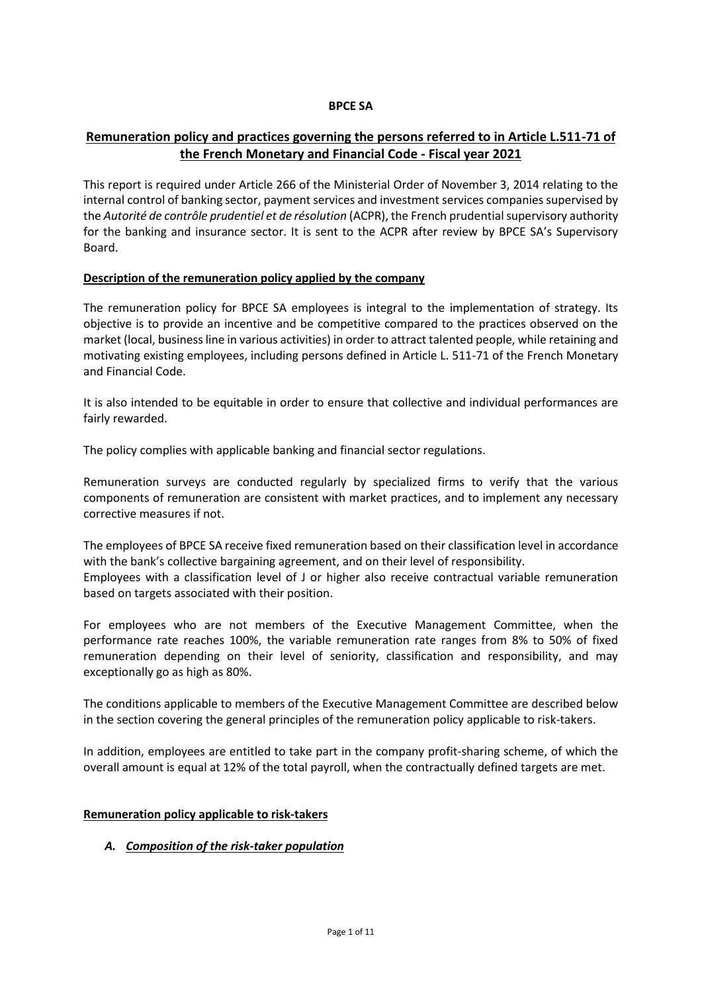## **BPCE SA**

# **Remuneration policy and practices governing the persons referred to in Article L.511-71 of the French Monetary and Financial Code - Fiscal year 2021**

This report is required under Article 266 of the Ministerial Order of November 3, 2014 relating to the internal control of banking sector, payment services and investment services companies supervised by the *Autorité de contrôle prudentiel et de résolution* (ACPR), the French prudential supervisory authority for the banking and insurance sector. It is sent to the ACPR after review by BPCE SA's Supervisory Board.

## **Description of the remuneration policy applied by the company**

The remuneration policy for BPCE SA employees is integral to the implementation of strategy. Its objective is to provide an incentive and be competitive compared to the practices observed on the market (local, business line in various activities) in order to attract talented people, while retaining and motivating existing employees, including persons defined in Article L. 511-71 of the French Monetary and Financial Code.

It is also intended to be equitable in order to ensure that collective and individual performances are fairly rewarded.

The policy complies with applicable banking and financial sector regulations.

Remuneration surveys are conducted regularly by specialized firms to verify that the various components of remuneration are consistent with market practices, and to implement any necessary corrective measures if not.

The employees of BPCE SA receive fixed remuneration based on their classification level in accordance with the bank's collective bargaining agreement, and on their level of responsibility. Employees with a classification level of J or higher also receive contractual variable remuneration based on targets associated with their position.

For employees who are not members of the Executive Management Committee, when the performance rate reaches 100%, the variable remuneration rate ranges from 8% to 50% of fixed remuneration depending on their level of seniority, classification and responsibility, and may exceptionally go as high as 80%.

The conditions applicable to members of the Executive Management Committee are described below in the section covering the general principles of the remuneration policy applicable to risk-takers.

In addition, employees are entitled to take part in the company profit-sharing scheme, of which the overall amount is equal at 12% of the total payroll, when the contractually defined targets are met.

### **Remuneration policy applicable to risk-takers**

## *A. Composition of the risk-taker population*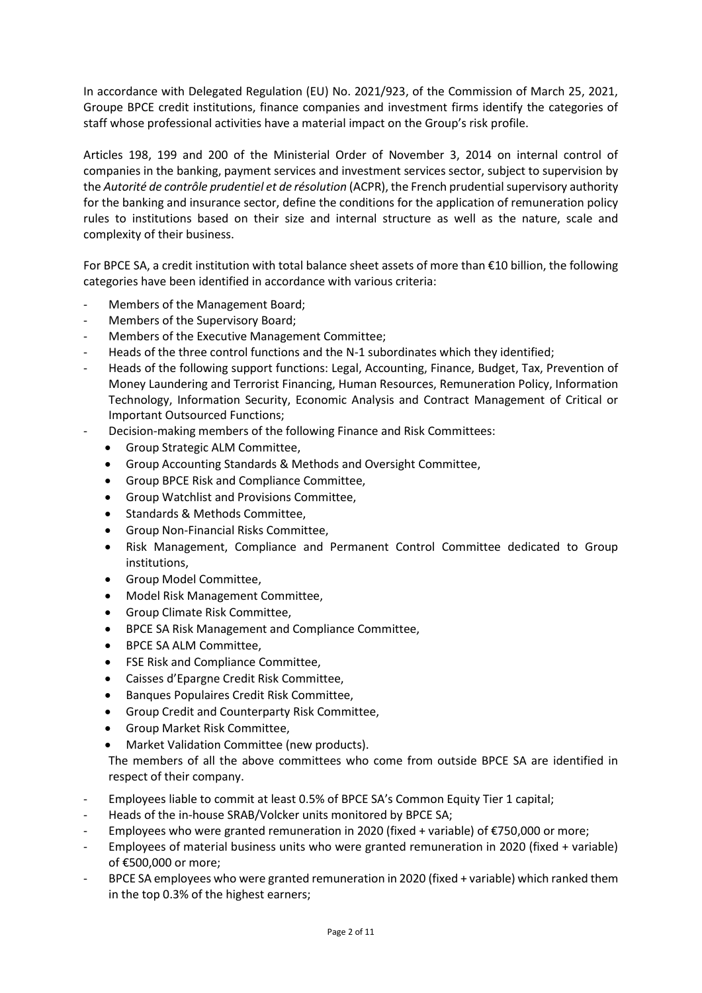In accordance with Delegated Regulation (EU) No. 2021/923, of the Commission of March 25, 2021, Groupe BPCE credit institutions, finance companies and investment firms identify the categories of staff whose professional activities have a material impact on the Group's risk profile.

Articles 198, 199 and 200 of the Ministerial Order of November 3, 2014 on internal control of companies in the banking, payment services and investment services sector, subject to supervision by the *Autorité de contrôle prudentiel et de résolution* (ACPR), the French prudential supervisory authority for the banking and insurance sector, define the conditions for the application of remuneration policy rules to institutions based on their size and internal structure as well as the nature, scale and complexity of their business.

For BPCE SA, a credit institution with total balance sheet assets of more than €10 billion, the following categories have been identified in accordance with various criteria:

- Members of the Management Board;
- Members of the Supervisory Board;
- Members of the Executive Management Committee;
- Heads of the three control functions and the N-1 subordinates which they identified;
- Heads of the following support functions: Legal, Accounting, Finance, Budget, Tax, Prevention of Money Laundering and Terrorist Financing, Human Resources, Remuneration Policy, Information Technology, Information Security, Economic Analysis and Contract Management of Critical or Important Outsourced Functions;
- Decision-making members of the following Finance and Risk Committees:
	- Group Strategic ALM Committee,
	- Group Accounting Standards & Methods and Oversight Committee,
	- Group BPCE Risk and Compliance Committee,
	- Group Watchlist and Provisions Committee,
	- Standards & Methods Committee,
	- Group Non-Financial Risks Committee,
	- Risk Management, Compliance and Permanent Control Committee dedicated to Group institutions,
	- Group Model Committee,
	- Model Risk Management Committee,
	- Group Climate Risk Committee,
	- BPCE SA Risk Management and Compliance Committee,
	- BPCE SA ALM Committee,
	- FSE Risk and Compliance Committee,
	- Caisses d'Epargne Credit Risk Committee,
	- Banques Populaires Credit Risk Committee,
	- Group Credit and Counterparty Risk Committee,
	- Group Market Risk Committee,
	- Market Validation Committee (new products).

The members of all the above committees who come from outside BPCE SA are identified in respect of their company.

- Employees liable to commit at least 0.5% of BPCE SA's Common Equity Tier 1 capital;
- Heads of the in-house SRAB/Volcker units monitored by BPCE SA;
- Employees who were granted remuneration in 2020 (fixed + variable) of €750,000 or more;
- Employees of material business units who were granted remuneration in 2020 (fixed + variable) of €500,000 or more;
- BPCE SA employees who were granted remuneration in 2020 (fixed + variable) which ranked them in the top 0.3% of the highest earners;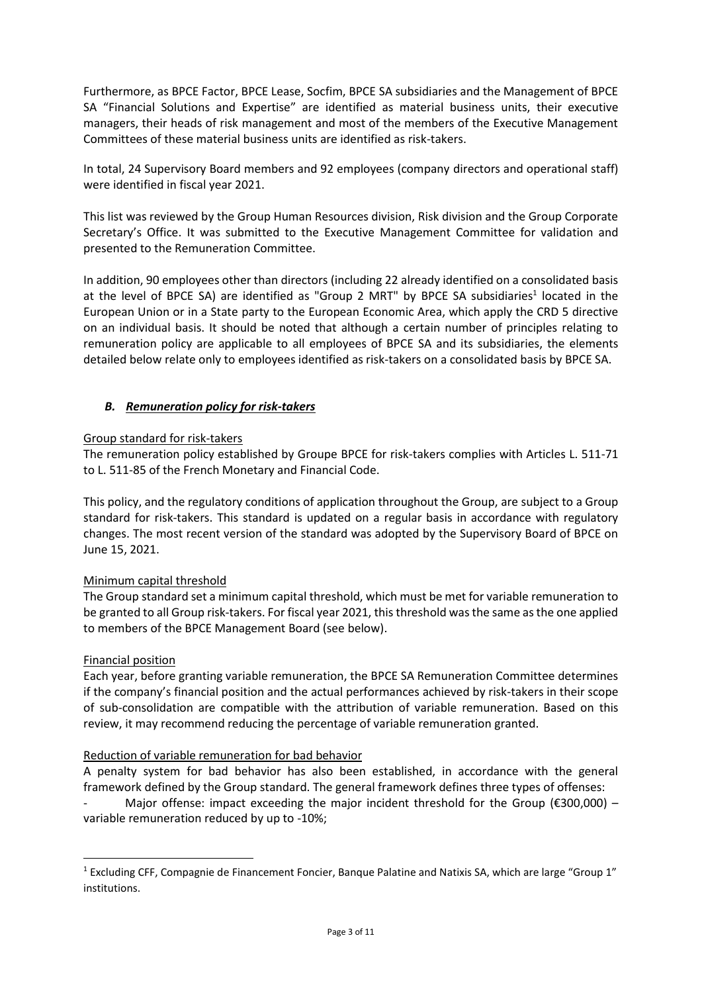Furthermore, as BPCE Factor, BPCE Lease, Socfim, BPCE SA subsidiaries and the Management of BPCE SA "Financial Solutions and Expertise" are identified as material business units, their executive managers, their heads of risk management and most of the members of the Executive Management Committees of these material business units are identified as risk-takers.

In total, 24 Supervisory Board members and 92 employees (company directors and operational staff) were identified in fiscal year 2021.

This list was reviewed by the Group Human Resources division, Risk division and the Group Corporate Secretary's Office. It was submitted to the Executive Management Committee for validation and presented to the Remuneration Committee.

In addition, 90 employees other than directors (including 22 already identified on a consolidated basis at the level of BPCE SA) are identified as "Group 2 MRT" by BPCE SA subsidiaries<sup>1</sup> located in the European Union or in a State party to the European Economic Area, which apply the CRD 5 directive on an individual basis. It should be noted that although a certain number of principles relating to remuneration policy are applicable to all employees of BPCE SA and its subsidiaries, the elements detailed below relate only to employees identified as risk-takers on a consolidated basis by BPCE SA.

# *B. Remuneration policy for risk-takers*

## Group standard for risk-takers

The remuneration policy established by Groupe BPCE for risk-takers complies with Articles L. 511-71 to L. 511-85 of the French Monetary and Financial Code.

This policy, and the regulatory conditions of application throughout the Group, are subject to a Group standard for risk-takers. This standard is updated on a regular basis in accordance with regulatory changes. The most recent version of the standard was adopted by the Supervisory Board of BPCE on June 15, 2021.

# Minimum capital threshold

The Group standard set a minimum capital threshold, which must be met for variable remuneration to be granted to all Group risk-takers. For fiscal year 2021, this threshold was the same as the one applied to members of the BPCE Management Board (see below).

## Financial position

Each year, before granting variable remuneration, the BPCE SA Remuneration Committee determines if the company's financial position and the actual performances achieved by risk-takers in their scope of sub-consolidation are compatible with the attribution of variable remuneration. Based on this review, it may recommend reducing the percentage of variable remuneration granted.

## Reduction of variable remuneration for bad behavior

A penalty system for bad behavior has also been established, in accordance with the general framework defined by the Group standard. The general framework defines three types of offenses:

Major offense: impact exceeding the major incident threshold for the Group ( $\epsilon$ 300,000) – variable remuneration reduced by up to -10%;

<sup>1</sup> Excluding CFF, Compagnie de Financement Foncier, Banque Palatine and Natixis SA, which are large "Group 1" institutions.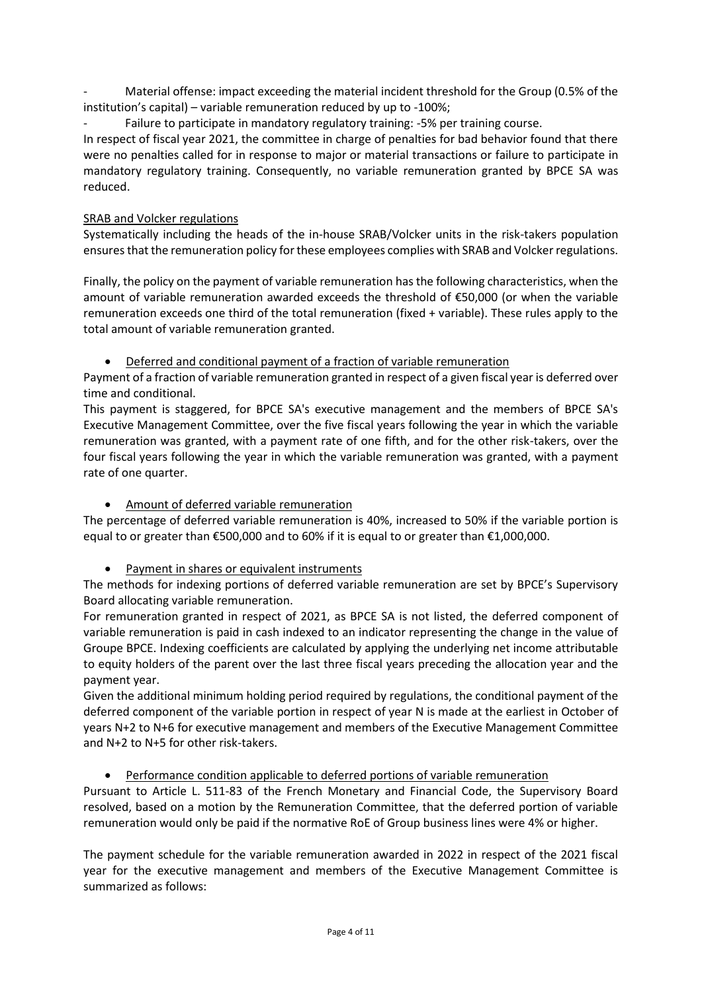- Material offense: impact exceeding the material incident threshold for the Group (0.5% of the institution's capital) – variable remuneration reduced by up to -100%;
- Failure to participate in mandatory regulatory training: -5% per training course.

In respect of fiscal year 2021, the committee in charge of penalties for bad behavior found that there were no penalties called for in response to major or material transactions or failure to participate in mandatory regulatory training. Consequently, no variable remuneration granted by BPCE SA was reduced.

# SRAB and Volcker regulations

Systematically including the heads of the in-house SRAB/Volcker units in the risk-takers population ensures that the remuneration policy for these employees complies with SRAB and Volcker regulations.

Finally, the policy on the payment of variable remuneration has the following characteristics, when the amount of variable remuneration awarded exceeds the threshold of €50,000 (or when the variable remuneration exceeds one third of the total remuneration (fixed + variable). These rules apply to the total amount of variable remuneration granted.

• Deferred and conditional payment of a fraction of variable remuneration

Payment of a fraction of variable remuneration granted in respect of a given fiscal year is deferred over time and conditional.

This payment is staggered, for BPCE SA's executive management and the members of BPCE SA's Executive Management Committee, over the five fiscal years following the year in which the variable remuneration was granted, with a payment rate of one fifth, and for the other risk-takers, over the four fiscal years following the year in which the variable remuneration was granted, with a payment rate of one quarter.

# • Amount of deferred variable remuneration

The percentage of deferred variable remuneration is 40%, increased to 50% if the variable portion is equal to or greater than €500,000 and to 60% if it is equal to or greater than €1,000,000.

• Payment in shares or equivalent instruments

The methods for indexing portions of deferred variable remuneration are set by BPCE's Supervisory Board allocating variable remuneration.

For remuneration granted in respect of 2021, as BPCE SA is not listed, the deferred component of variable remuneration is paid in cash indexed to an indicator representing the change in the value of Groupe BPCE. Indexing coefficients are calculated by applying the underlying net income attributable to equity holders of the parent over the last three fiscal years preceding the allocation year and the payment year.

Given the additional minimum holding period required by regulations, the conditional payment of the deferred component of the variable portion in respect of year N is made at the earliest in October of years N+2 to N+6 for executive management and members of the Executive Management Committee and N+2 to N+5 for other risk-takers.

# • Performance condition applicable to deferred portions of variable remuneration

Pursuant to Article L. 511-83 of the French Monetary and Financial Code, the Supervisory Board resolved, based on a motion by the Remuneration Committee, that the deferred portion of variable remuneration would only be paid if the normative RoE of Group business lines were 4% or higher.

The payment schedule for the variable remuneration awarded in 2022 in respect of the 2021 fiscal year for the executive management and members of the Executive Management Committee is summarized as follows: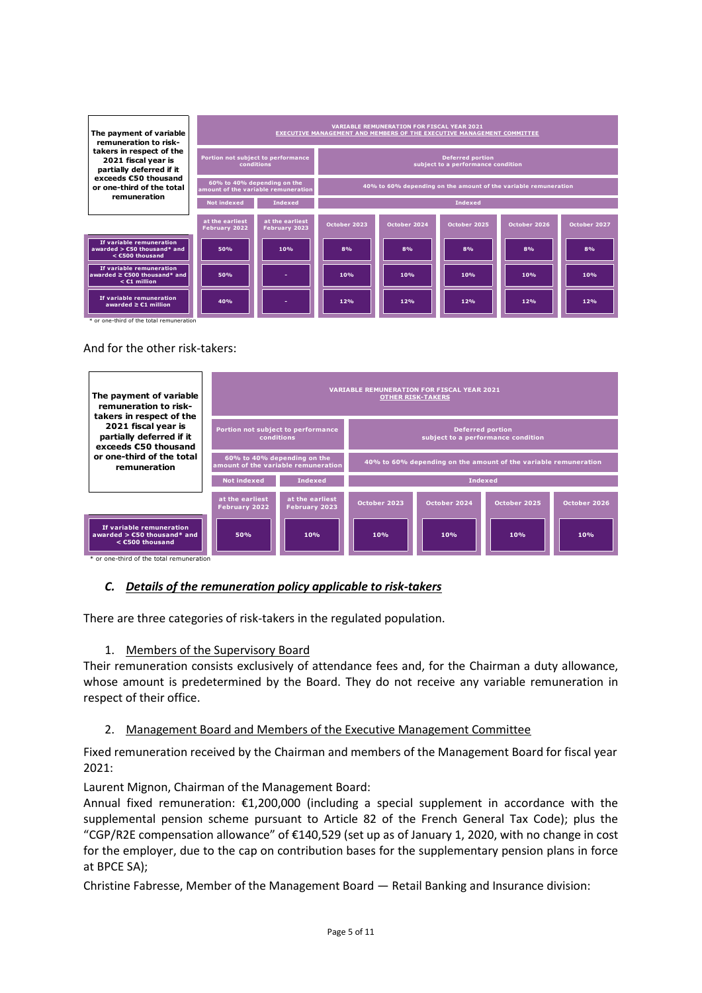| The payment of variable<br>remuneration to risk-                                   | <b>VARIABLE REMUNERATION FOR FISCAL YEAR 2021</b><br><b>EXECUTIVE MANAGEMENT AND MEMBERS OF THE EXECUTIVE MANAGEMENT COMMITTEE</b> |                                                                    |                                                                 |                |              |              |              |  |  |
|------------------------------------------------------------------------------------|------------------------------------------------------------------------------------------------------------------------------------|--------------------------------------------------------------------|-----------------------------------------------------------------|----------------|--------------|--------------|--------------|--|--|
| takers in respect of the<br>2021 fiscal year is<br>partially deferred if it        |                                                                                                                                    | Portion not subject to performance<br>conditions                   | <b>Deferred portion</b><br>subject to a performance condition   |                |              |              |              |  |  |
| exceeds €50 thousand<br>or one-third of the total                                  |                                                                                                                                    | 60% to 40% depending on the<br>amount of the variable remuneration | 40% to 60% depending on the amount of the variable remuneration |                |              |              |              |  |  |
| remuneration                                                                       | <b>Not indexed</b>                                                                                                                 | <b>Indexed</b>                                                     |                                                                 | <b>Indexed</b> |              |              |              |  |  |
|                                                                                    | at the earliest<br>February 2022                                                                                                   | at the earliest<br>February 2023                                   | October 2023                                                    | October 2024   | October 2025 | October 2026 | October 2027 |  |  |
| If variable remuneration<br>awarded $>$ $C50$ thousand* and<br>$<$ $C500$ thousand | 50%                                                                                                                                | 10%                                                                | 8%                                                              | 8%             | 8%           | 8%           | 8%           |  |  |
| If variable remuneration<br>awarded $\geq$ C500 thousand* and<br>$<$ $C1$ million  | 50%                                                                                                                                |                                                                    | 10%                                                             | 10%            | 10%          | 10%          | 10%          |  |  |
| If variable remuneration<br>awarded $\geq$ C1 million                              | 40%                                                                                                                                |                                                                    | 12%<br>12%<br>12%<br>12%<br>12%                                 |                |              |              |              |  |  |

And for the other risk-takers:

| The payment of variable<br>remuneration to risk-<br>takers in respect of the                                                        | <b>VARIABLE REMUNERATION FOR FISCAL YEAR 2021</b><br><b>OTHER RISK-TAKERS</b> |                                                                    |                                                                 |              |              |              |  |  |  |  |
|-------------------------------------------------------------------------------------------------------------------------------------|-------------------------------------------------------------------------------|--------------------------------------------------------------------|-----------------------------------------------------------------|--------------|--------------|--------------|--|--|--|--|
| 2021 fiscal year is<br>partially deferred if it<br>exceeds €50 thousand                                                             | Portion not subject to performance<br>conditions                              |                                                                    | <b>Deferred portion</b><br>subject to a performance condition   |              |              |              |  |  |  |  |
| or one-third of the total<br>remuneration                                                                                           |                                                                               | 60% to 40% depending on the<br>amount of the variable remuneration | 40% to 60% depending on the amount of the variable remuneration |              |              |              |  |  |  |  |
|                                                                                                                                     | <b>Not indexed</b>                                                            | <b>Indexed</b>                                                     | <b>Indexed</b>                                                  |              |              |              |  |  |  |  |
|                                                                                                                                     | at the earliest<br><b>February 2022</b>                                       | at the earliest<br><b>February 2023</b>                            | October 2023                                                    | October 2024 | October 2025 | October 2026 |  |  |  |  |
| If variable remuneration<br>awarded $>$ $C50$ thousand* and<br>$<$ $<$ $E$ 500 thousand<br>* or one-third of the total remuneration | 50%                                                                           | 10%                                                                | 10%                                                             | 10%          | 10%          | 10%          |  |  |  |  |

## *C. Details of the remuneration policy applicable to risk-takers*

There are three categories of risk-takers in the regulated population.

### 1. Members of the Supervisory Board

Their remuneration consists exclusively of attendance fees and, for the Chairman a duty allowance, whose amount is predetermined by the Board. They do not receive any variable remuneration in respect of their office.

## 2. Management Board and Members of the Executive Management Committee

Fixed remuneration received by the Chairman and members of the Management Board for fiscal year 2021:

Laurent Mignon, Chairman of the Management Board:

Annual fixed remuneration: €1,200,000 (including a special supplement in accordance with the supplemental pension scheme pursuant to Article 82 of the French General Tax Code); plus the "CGP/R2E compensation allowance" of €140,529 (set up as of January 1, 2020, with no change in cost for the employer, due to the cap on contribution bases for the supplementary pension plans in force at BPCE SA);

Christine Fabresse, Member of the Management Board — Retail Banking and Insurance division: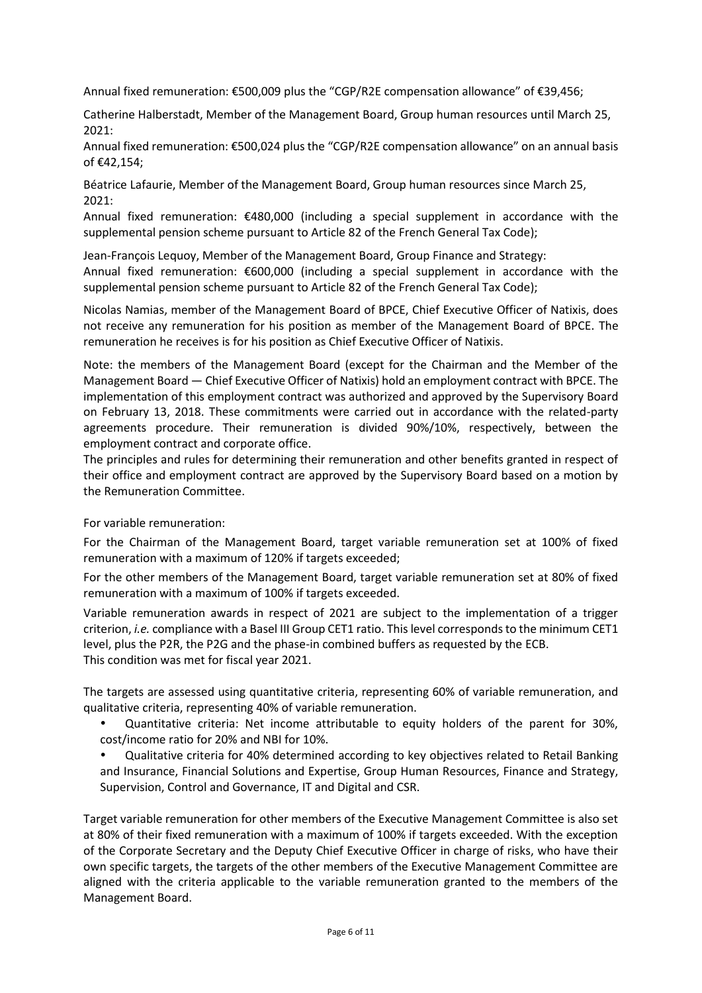Annual fixed remuneration: €500,009 plus the "CGP/R2E compensation allowance" of €39,456;

Catherine Halberstadt, Member of the Management Board, Group human resources until March 25, 2021:

Annual fixed remuneration: €500,024 plus the "CGP/R2E compensation allowance" on an annual basis of €42,154;

Béatrice Lafaurie, Member of the Management Board, Group human resources since March 25, 2021:

Annual fixed remuneration: €480,000 (including a special supplement in accordance with the supplemental pension scheme pursuant to Article 82 of the French General Tax Code);

Jean-François Lequoy, Member of the Management Board, Group Finance and Strategy: Annual fixed remuneration: €600,000 (including a special supplement in accordance with the supplemental pension scheme pursuant to Article 82 of the French General Tax Code);

Nicolas Namias, member of the Management Board of BPCE, Chief Executive Officer of Natixis, does not receive any remuneration for his position as member of the Management Board of BPCE. The remuneration he receives is for his position as Chief Executive Officer of Natixis.

Note: the members of the Management Board (except for the Chairman and the Member of the Management Board — Chief Executive Officer of Natixis) hold an employment contract with BPCE. The implementation of this employment contract was authorized and approved by the Supervisory Board on February 13, 2018. These commitments were carried out in accordance with the related-party agreements procedure. Their remuneration is divided 90%/10%, respectively, between the employment contract and corporate office.

The principles and rules for determining their remuneration and other benefits granted in respect of their office and employment contract are approved by the Supervisory Board based on a motion by the Remuneration Committee.

For variable remuneration:

For the Chairman of the Management Board, target variable remuneration set at 100% of fixed remuneration with a maximum of 120% if targets exceeded;

For the other members of the Management Board, target variable remuneration set at 80% of fixed remuneration with a maximum of 100% if targets exceeded.

Variable remuneration awards in respect of 2021 are subject to the implementation of a trigger criterion, *i.e.* compliance with a Basel III Group CET1 ratio. This level corresponds to the minimum CET1 level, plus the P2R, the P2G and the phase-in combined buffers as requested by the ECB. This condition was met for fiscal year 2021.

The targets are assessed using quantitative criteria, representing 60% of variable remuneration, and qualitative criteria, representing 40% of variable remuneration.

- Quantitative criteria: Net income attributable to equity holders of the parent for 30%, cost/income ratio for 20% and NBI for 10%.
- Qualitative criteria for 40% determined according to key objectives related to Retail Banking and Insurance, Financial Solutions and Expertise, Group Human Resources, Finance and Strategy, Supervision, Control and Governance, IT and Digital and CSR.

Target variable remuneration for other members of the Executive Management Committee is also set at 80% of their fixed remuneration with a maximum of 100% if targets exceeded. With the exception of the Corporate Secretary and the Deputy Chief Executive Officer in charge of risks, who have their own specific targets, the targets of the other members of the Executive Management Committee are aligned with the criteria applicable to the variable remuneration granted to the members of the Management Board.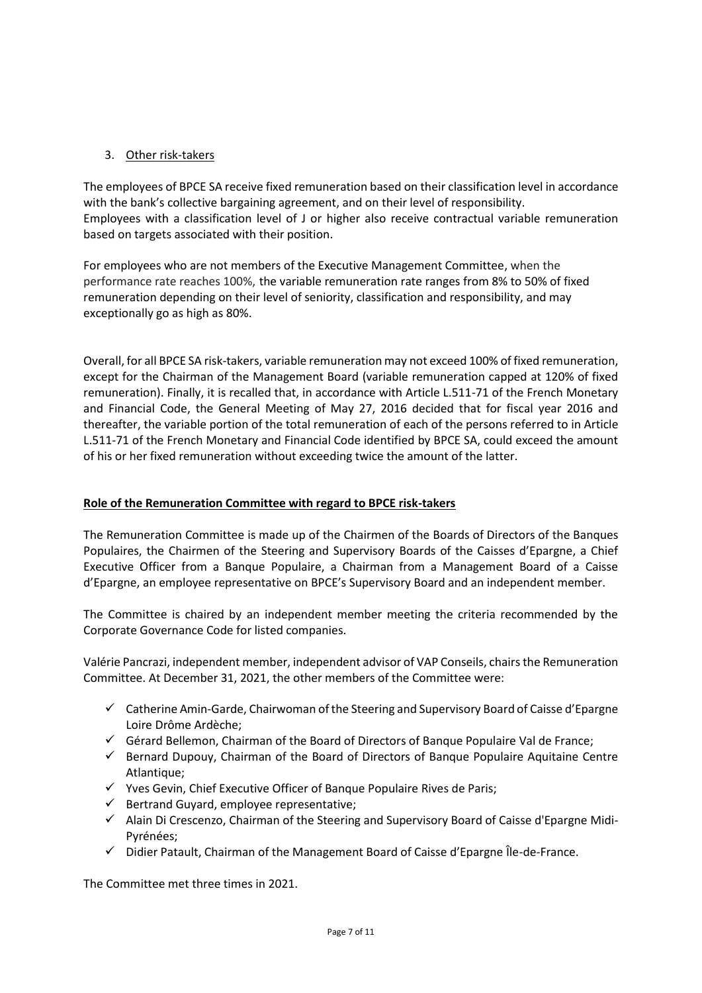# 3. Other risk-takers

The employees of BPCE SA receive fixed remuneration based on their classification level in accordance with the bank's collective bargaining agreement, and on their level of responsibility. Employees with a classification level of J or higher also receive contractual variable remuneration based on targets associated with their position.

For employees who are not members of the Executive Management Committee, when the performance rate reaches 100%, the variable remuneration rate ranges from 8% to 50% of fixed remuneration depending on their level of seniority, classification and responsibility, and may exceptionally go as high as 80%.

Overall, for all BPCE SA risk-takers, variable remuneration may not exceed 100% of fixed remuneration, except for the Chairman of the Management Board (variable remuneration capped at 120% of fixed remuneration). Finally, it is recalled that, in accordance with Article L.511-71 of the French Monetary and Financial Code, the General Meeting of May 27, 2016 decided that for fiscal year 2016 and thereafter, the variable portion of the total remuneration of each of the persons referred to in Article L.511-71 of the French Monetary and Financial Code identified by BPCE SA, could exceed the amount of his or her fixed remuneration without exceeding twice the amount of the latter.

# **Role of the Remuneration Committee with regard to BPCE risk-takers**

The Remuneration Committee is made up of the Chairmen of the Boards of Directors of the Banques Populaires, the Chairmen of the Steering and Supervisory Boards of the Caisses d'Epargne, a Chief Executive Officer from a Banque Populaire, a Chairman from a Management Board of a Caisse d'Epargne, an employee representative on BPCE's Supervisory Board and an independent member.

The Committee is chaired by an independent member meeting the criteria recommended by the Corporate Governance Code for listed companies.

Valérie Pancrazi, independent member, independent advisor of VAP Conseils, chairs the Remuneration Committee. At December 31, 2021, the other members of the Committee were:

- ✓ Catherine Amin-Garde, Chairwoman of the Steering and Supervisory Board of Caisse d'Epargne Loire Drôme Ardèche;
- ✓ Gérard Bellemon, Chairman of the Board of Directors of Banque Populaire Val de France;
- $\checkmark$  Bernard Dupouy, Chairman of the Board of Directors of Banque Populaire Aquitaine Centre Atlantique;
- ✓ Yves Gevin, Chief Executive Officer of Banque Populaire Rives de Paris;
- $\checkmark$  Bertrand Guyard, employee representative;
- ✓ Alain Di Crescenzo, Chairman of the Steering and Supervisory Board of Caisse d'Epargne Midi-Pyrénées;
- $\checkmark$  Didier Patault, Chairman of the Management Board of Caisse d'Epargne Île-de-France.

The Committee met three times in 2021.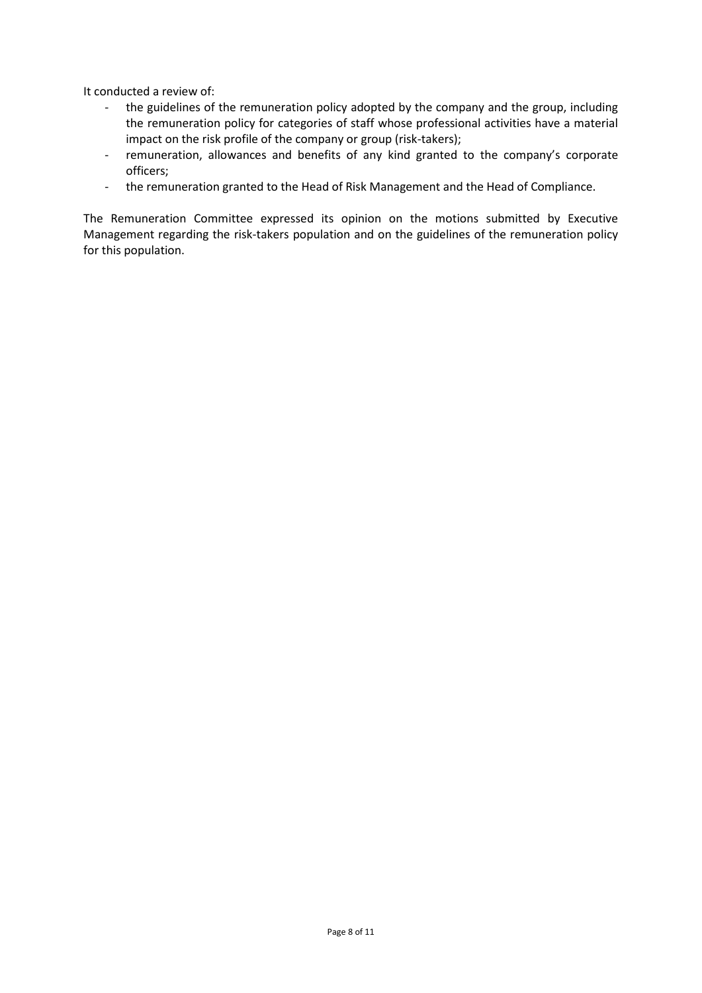It conducted a review of:

- the guidelines of the remuneration policy adopted by the company and the group, including the remuneration policy for categories of staff whose professional activities have a material impact on the risk profile of the company or group (risk-takers);
- remuneration, allowances and benefits of any kind granted to the company's corporate officers;
- the remuneration granted to the Head of Risk Management and the Head of Compliance.

The Remuneration Committee expressed its opinion on the motions submitted by Executive Management regarding the risk-takers population and on the guidelines of the remuneration policy for this population.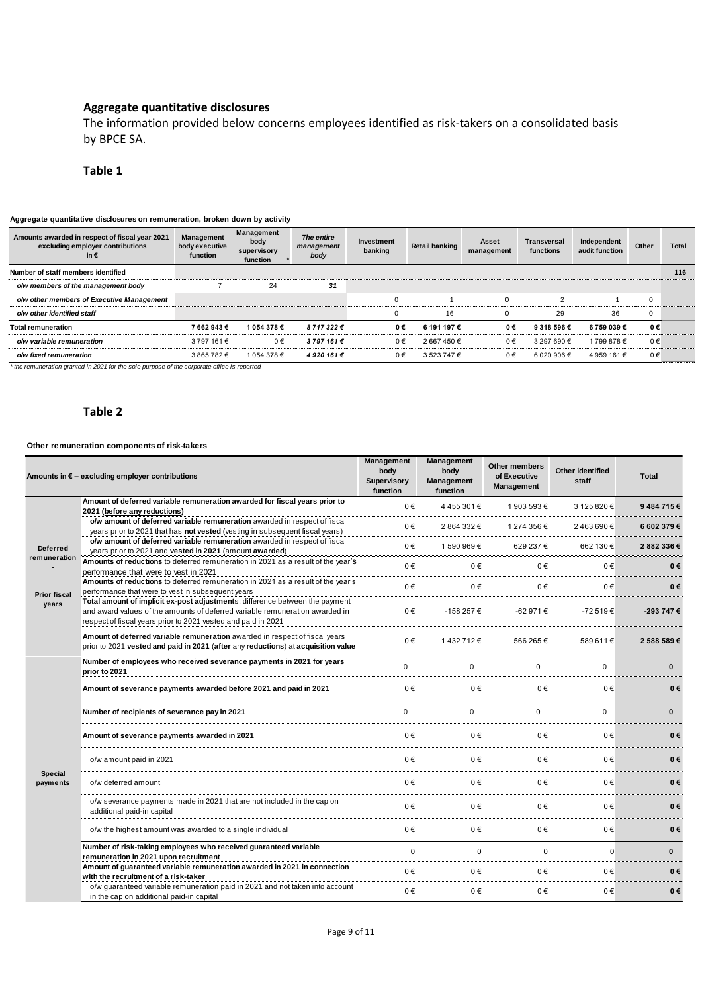## **Aggregate quantitative disclosures**

The information provided below concerns employees identified as risk-takers on a consolidated basis by BPCE SA.

## **Table 1**

#### **Aggregate quantitative disclosures on remuneration, broken down by activity**

| Aggregate quantitative disclosures on remuneration, proken down by activity               |                                                 |                                               |                                  |                       |                       |                     |                          |                               |             |              |
|-------------------------------------------------------------------------------------------|-------------------------------------------------|-----------------------------------------------|----------------------------------|-----------------------|-----------------------|---------------------|--------------------------|-------------------------------|-------------|--------------|
| Amounts awarded in respect of fiscal year 2021<br>excluding employer contributions<br>in€ | <b>Management</b><br>body executive<br>function | Management<br>body<br>supervisory<br>function | The entire<br>management<br>body | Investment<br>banking | <b>Retail banking</b> | Asset<br>management | Transversal<br>functions | Independent<br>audit function | Other       | <b>Total</b> |
| Number of staff members identified                                                        |                                                 |                                               |                                  |                       |                       |                     |                          |                               |             | 116          |
| o/w members of the management body                                                        |                                                 | 24                                            | 31                               |                       |                       |                     |                          |                               |             |              |
| o/w other members of Executive Management                                                 |                                                 |                                               |                                  | $\Omega$              |                       |                     | 2                        |                               | $\mathbf 0$ |              |
| o/w other identified staff                                                                |                                                 |                                               |                                  |                       | 16                    |                     | 29                       | 36                            | $\mathbf 0$ |              |
| <b>Total remuneration</b>                                                                 | 7662943€                                        | 1 054 378 €                                   | 8717322€                         | 0€                    | 6 191 197 €           | 0€                  | 9 318 596 €              | 6 759 039€                    | 0€          |              |
| o/w variable remuneration                                                                 | 3 797 161 €                                     | $0 \in$                                       | 3797161€                         | $0 \in$               | 2667450€              | $0 \in$             | 3 297 690 €              | 1799878€                      | 0€          |              |
| o/w fixed remuneration                                                                    | 3865782€                                        | 1 054 378 €                                   | 4 920 161 €                      | 0€                    | 3 523 747 €           | $0 \in$             | 6 020 906 €              | 4 959 161 €                   | 0€          |              |
|                                                                                           |                                                 |                                               |                                  |                       |                       |                     |                          |                               |             |              |

*\* the remuneration granted in 2021 for the sole purpose of the corporate office is reported*

# **Table 2**

#### **Other remuneration components of risk-takers**

|                              | Amounts in $\epsilon$ – excluding employer contributions                                                                                                                                                                      | <b>Management</b><br>body<br>Supervisory<br>function | Management<br>body<br>Management<br>function | Other members<br>of Executive<br>Management | Other identified<br>staff | Total        |
|------------------------------|-------------------------------------------------------------------------------------------------------------------------------------------------------------------------------------------------------------------------------|------------------------------------------------------|----------------------------------------------|---------------------------------------------|---------------------------|--------------|
|                              | Amount of deferred variable remuneration awarded for fiscal years prior to<br>2021 (before any reductions)                                                                                                                    | 0€                                                   | 4455301€                                     | 1903 593€                                   | 3 125 820 €               | 9484715€     |
|                              | o/w amount of deferred variable remuneration awarded in respect of fiscal                                                                                                                                                     |                                                      |                                              |                                             |                           |              |
| <b>Deferred</b>              | years prior to 2021 that has not vested (vesting in subsequent fiscal years)                                                                                                                                                  | 0€                                                   | 2 864 332 €                                  | 1 274 356 €                                 | 2463690€                  | 6 602 379 €  |
|                              | o/w amount of deferred variable remuneration awarded in respect of fiscal<br>years prior to 2021 and vested in 2021 (amount awarded)                                                                                          | $0 \in$                                              | 1 590 969 €                                  | 629 237 €                                   | 662 130 €                 | 2882336€     |
| remuneration                 | Amounts of reductions to deferred remuneration in 2021 as a result of the year's<br>performance that were to vest in 2021                                                                                                     | 0€                                                   | 0€                                           | 0€                                          | 0€                        | 0€           |
|                              | Amounts of reductions to deferred remuneration in 2021 as a result of the year's<br>performance that were to vest in subsequent years                                                                                         | 0€                                                   | 0€                                           | 0€                                          | 0€                        | 0€           |
| <b>Prior fiscal</b><br>years | Total amount of implicit ex-post adjustments: difference between the payment<br>and award values of the amounts of deferred variable remuneration awarded in<br>respect of fiscal years prior to 2021 vested and paid in 2021 | 0€                                                   | -158 257 €                                   | -62 971 €                                   | -72 519€                  | -293 747 €   |
|                              | Amount of deferred variable remuneration awarded in respect of fiscal years<br>prior to 2021 vested and paid in 2021 (after any reductions) at acquisition value                                                              | 0€                                                   | 1432712€                                     | 566 265 €                                   | 589 611 €                 | 2 588 589€   |
|                              | Number of employees who received severance payments in 2021 for years<br>prior to 2021                                                                                                                                        | 0                                                    | $\mathbf 0$                                  | $\mathbf 0$                                 | $\Omega$                  | $\mathbf{0}$ |
|                              | Amount of severance payments awarded before 2021 and paid in 2021                                                                                                                                                             | 0€                                                   | 0€                                           | 0€                                          | 0€                        | 0€           |
|                              | Number of recipients of severance pay in 2021                                                                                                                                                                                 | $\Omega$                                             | $\Omega$                                     | $\mathbf 0$                                 | 0                         | $\bf{0}$     |
|                              | Amount of severance payments awarded in 2021                                                                                                                                                                                  | 0€                                                   | 0€                                           | 0€                                          | 0€                        | 0€           |
|                              | o/w amount paid in 2021                                                                                                                                                                                                       | 0€                                                   | 0€                                           | 0€                                          | 0€                        | 0€           |
| <b>Special</b><br>payments   | o/w deferred amount                                                                                                                                                                                                           | 0€                                                   | 0€                                           | 0€                                          | 0€                        | 0€           |
|                              | o/w severance payments made in 2021 that are not included in the cap on<br>additional paid-in capital                                                                                                                         | 0€                                                   | 0€                                           | 0€                                          | 0€                        | 0€           |
|                              | o/w the highest amount was awarded to a single individual                                                                                                                                                                     | $0 \in$                                              | 0€                                           | 0€                                          | 0€                        | 0€           |
|                              | Number of risk-taking employees who received quaranteed variable<br>remuneration in 2021 upon recruitment                                                                                                                     | $\mathbf 0$                                          | $\mathbf 0$                                  | 0                                           | $\mathbf 0$               | $\mathbf{0}$ |
|                              | Amount of guaranteed variable remuneration awarded in 2021 in connection<br>with the recruitment of a risk-taker                                                                                                              | $0 \in$                                              | 0€                                           | $0 \in$                                     | 0€                        | 0€           |
|                              | o/w quaranteed variable remuneration paid in 2021 and not taken into account<br>in the cap on additional paid-in capital                                                                                                      | 0€                                                   | 0€                                           | 0€                                          | 0€                        | 0€           |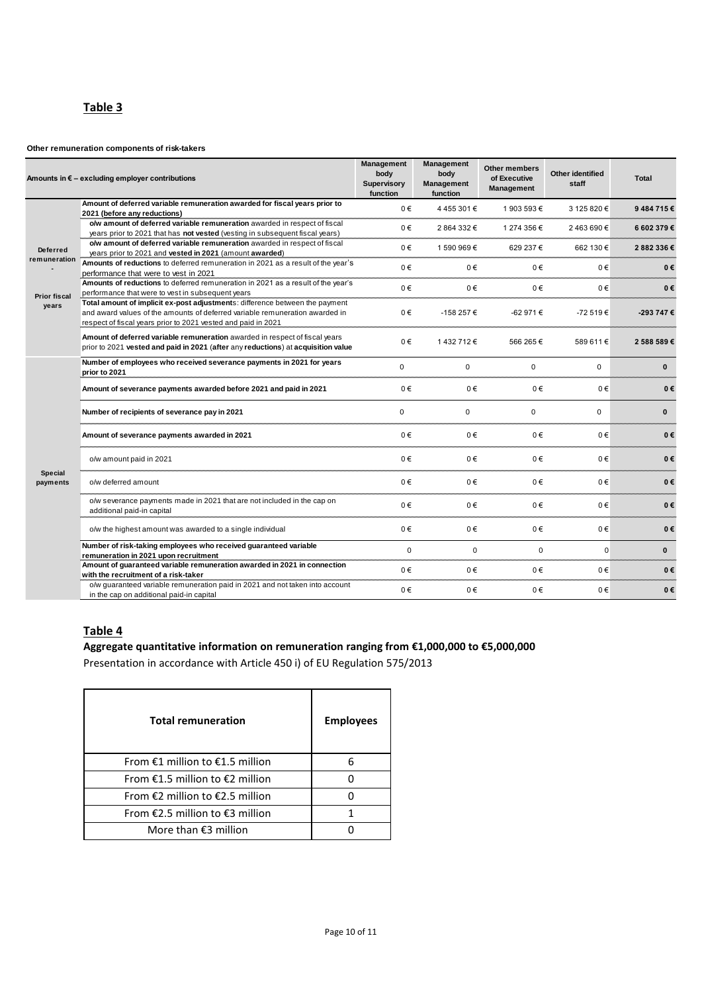# **Table 3**

## **Other remuneration components of risk-takers**

|                                 | Amounts in $\epsilon$ – excluding employer contributions                                                                                                                                                                      | <b>Management</b><br>body<br>Supervisory<br>function | Management<br>body<br><b>Management</b><br>function | Other members<br>of Executive<br><b>Management</b> | Other identified<br>staff | Total        |
|---------------------------------|-------------------------------------------------------------------------------------------------------------------------------------------------------------------------------------------------------------------------------|------------------------------------------------------|-----------------------------------------------------|----------------------------------------------------|---------------------------|--------------|
|                                 | Amount of deferred variable remuneration awarded for fiscal years prior to<br>2021 (before any reductions)                                                                                                                    | $0 \in$                                              | 4455301€                                            | 1903 593 €                                         | 3 125 820 €               | 9484715€     |
| <b>Deferred</b><br>remuneration | o/w amount of deferred variable remuneration awarded in respect of fiscal<br>years prior to 2021 that has not vested (vesting in subsequent fiscal years)                                                                     | 0€                                                   | 2864332€                                            | 1 274 356 €                                        | 2463690€                  | 6 602 379€   |
|                                 | o/w amount of deferred variable remuneration awarded in respect of fiscal<br>years prior to 2021 and vested in 2021 (amount awarded)                                                                                          | 0€                                                   | 1590969€                                            | 629 237 €                                          | 662 130 €                 | 2882336€     |
|                                 | Amounts of reductions to deferred remuneration in 2021 as a result of the year's<br>performance that were to vest in 2021                                                                                                     | 0€                                                   | 0€                                                  | 0€                                                 | 0€                        | 0€           |
| <b>Prior fiscal</b>             | Amounts of reductions to deferred remuneration in 2021 as a result of the year's<br>performance that were to vest in subsequent years                                                                                         | $0 \in$                                              | 0€                                                  | 0€                                                 | 0€                        | 0€           |
| years                           | Total amount of implicit ex-post adjustments: difference between the payment<br>and award values of the amounts of deferred variable remuneration awarded in<br>respect of fiscal years prior to 2021 vested and paid in 2021 | 0€                                                   | -158 257 €                                          | -62 971 €                                          | -72 519€                  | -293 747 €   |
|                                 | Amount of deferred variable remuneration awarded in respect of fiscal years<br>prior to 2021 vested and paid in 2021 (after any reductions) at acquisition value                                                              | 0€                                                   | 1432712€                                            | 566 265 €                                          | 589 611 €                 | 2 588 589€   |
|                                 | Number of employees who received severance payments in 2021 for years<br>prior to 2021                                                                                                                                        | $\Omega$                                             | $\Omega$                                            | $\mathbf 0$                                        | $\Omega$                  | $\mathbf{0}$ |
|                                 | Amount of severance payments awarded before 2021 and paid in 2021                                                                                                                                                             | 0€                                                   | 0€                                                  | 0€                                                 | 0€                        | 0€           |
|                                 | Number of recipients of severance pay in 2021                                                                                                                                                                                 | $\mathbf 0$                                          | $\mathbf 0$                                         | 0                                                  | 0                         | $\mathbf{0}$ |
|                                 | Amount of severance payments awarded in 2021                                                                                                                                                                                  | 0€                                                   | $0 \in$                                             | 0€                                                 | 0€                        | 0€           |
|                                 | o/w amount paid in 2021                                                                                                                                                                                                       | 0€                                                   | 0€                                                  | 0€                                                 | 0€                        | 0€           |
| Special<br>payments             | o/w deferred amount                                                                                                                                                                                                           | 0€                                                   | 0€                                                  | $0 \in$                                            | 0€                        | 0€           |
|                                 | o/w severance payments made in 2021 that are not included in the cap on<br>additional paid-in capital                                                                                                                         | 0€                                                   | 0€                                                  | 0€                                                 | 0€                        | 0€           |
|                                 | o/w the highest amount was awarded to a single individual                                                                                                                                                                     | 0€                                                   | 0€                                                  | 0€                                                 | 0€                        | 0€           |
|                                 | Number of risk-taking employees who received guaranteed variable<br>remuneration in 2021 upon recruitment                                                                                                                     | $\mathbf 0$                                          | $\mathbf 0$                                         | $\mathbf 0$                                        | $\Omega$                  | $\mathbf{0}$ |
|                                 | Amount of guaranteed variable remuneration awarded in 2021 in connection<br>with the recruitment of a risk-taker                                                                                                              | 0€                                                   | 0€                                                  | 0€                                                 | 0€                        | 0€           |
|                                 | o/w guaranteed variable remuneration paid in 2021 and not taken into account<br>in the cap on additional paid-in capital                                                                                                      | 0€                                                   | $0 \in$                                             | 0€                                                 | 0€                        | 0€           |

# **Table 4**

## **Aggregate quantitative information on remuneration ranging from €1,000,000 to €5,000,000**

Presentation in accordance with Article 450 i) of EU Regulation 575/2013

| <b>Total remuneration</b>           | <b>Employees</b> |
|-------------------------------------|------------------|
| From $E1$ million to $E1.5$ million | 6                |
| From $£1.5$ million to $£2$ million |                  |
| From $E2$ million to $E2.5$ million |                  |
| From €2.5 million to €3 million     |                  |
| More than $\epsilon$ 3 million      |                  |